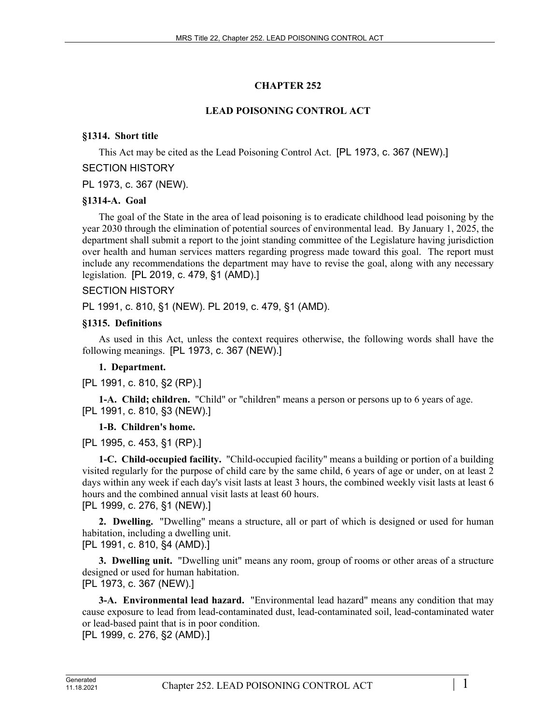# **CHAPTER 252**

# **LEAD POISONING CONTROL ACT**

# **§1314. Short title**

This Act may be cited as the Lead Poisoning Control Act. [PL 1973, c. 367 (NEW).]

## SECTION HISTORY

PL 1973, c. 367 (NEW).

## **§1314-A. Goal**

The goal of the State in the area of lead poisoning is to eradicate childhood lead poisoning by the year 2030 through the elimination of potential sources of environmental lead. By January 1, 2025, the department shall submit a report to the joint standing committee of the Legislature having jurisdiction over health and human services matters regarding progress made toward this goal. The report must include any recommendations the department may have to revise the goal, along with any necessary legislation. [PL 2019, c. 479, §1 (AMD).]

# SECTION HISTORY

PL 1991, c. 810, §1 (NEW). PL 2019, c. 479, §1 (AMD).

## **§1315. Definitions**

As used in this Act, unless the context requires otherwise, the following words shall have the following meanings. [PL 1973, c. 367 (NEW).]

# **1. Department.**

[PL 1991, c. 810, §2 (RP).]

**1-A. Child; children.** "Child" or "children" means a person or persons up to 6 years of age. [PL 1991, c. 810, §3 (NEW).]

# **1-B. Children's home.**

[PL 1995, c. 453, §1 (RP).]

**1-C. Child-occupied facility.** "Child-occupied facility" means a building or portion of a building visited regularly for the purpose of child care by the same child, 6 years of age or under, on at least 2 days within any week if each day's visit lasts at least 3 hours, the combined weekly visit lasts at least 6 hours and the combined annual visit lasts at least 60 hours. [PL 1999, c. 276, §1 (NEW).]

**2. Dwelling.** "Dwelling" means a structure, all or part of which is designed or used for human habitation, including a dwelling unit.

[PL 1991, c. 810, §4 (AMD).]

**3. Dwelling unit.** "Dwelling unit" means any room, group of rooms or other areas of a structure designed or used for human habitation.

[PL 1973, c. 367 (NEW).]

**3-A. Environmental lead hazard.** "Environmental lead hazard" means any condition that may cause exposure to lead from lead-contaminated dust, lead-contaminated soil, lead-contaminated water or lead-based paint that is in poor condition.

[PL 1999, c. 276, §2 (AMD).]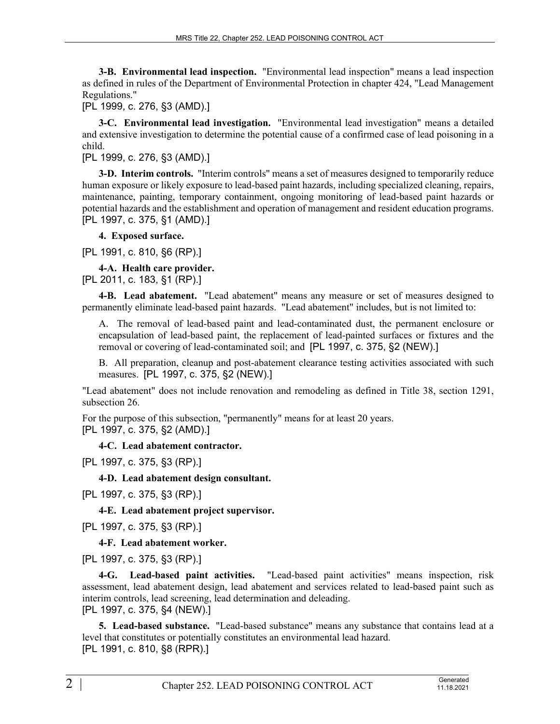**3-B. Environmental lead inspection.** "Environmental lead inspection" means a lead inspection as defined in rules of the Department of Environmental Protection in chapter 424, "Lead Management Regulations."

[PL 1999, c. 276, §3 (AMD).]

**3-C. Environmental lead investigation.** "Environmental lead investigation" means a detailed and extensive investigation to determine the potential cause of a confirmed case of lead poisoning in a child.

[PL 1999, c. 276, §3 (AMD).]

**3-D. Interim controls.** "Interim controls" means a set of measures designed to temporarily reduce human exposure or likely exposure to lead-based paint hazards, including specialized cleaning, repairs, maintenance, painting, temporary containment, ongoing monitoring of lead-based paint hazards or potential hazards and the establishment and operation of management and resident education programs. [PL 1997, c. 375, §1 (AMD).]

**4. Exposed surface.** 

[PL 1991, c. 810, §6 (RP).]

**4-A. Health care provider.**  [PL 2011, c. 183, §1 (RP).]

**4-B. Lead abatement.** "Lead abatement" means any measure or set of measures designed to permanently eliminate lead-based paint hazards. "Lead abatement" includes, but is not limited to:

A. The removal of lead-based paint and lead-contaminated dust, the permanent enclosure or encapsulation of lead-based paint, the replacement of lead-painted surfaces or fixtures and the removal or covering of lead-contaminated soil; and [PL 1997, c. 375, §2 (NEW).]

B. All preparation, cleanup and post-abatement clearance testing activities associated with such measures. [PL 1997, c. 375, §2 (NEW).]

"Lead abatement" does not include renovation and remodeling as defined in Title 38, section 1291, subsection 26.

For the purpose of this subsection, "permanently" means for at least 20 years. [PL 1997, c. 375, §2 (AMD).]

**4-C. Lead abatement contractor.** 

[PL 1997, c. 375, §3 (RP).]

**4-D. Lead abatement design consultant.** 

[PL 1997, c. 375, §3 (RP).]

**4-E. Lead abatement project supervisor.** 

[PL 1997, c. 375, §3 (RP).]

**4-F. Lead abatement worker.** 

[PL 1997, c. 375, §3 (RP).]

**4-G. Lead-based paint activities.** "Lead-based paint activities" means inspection, risk assessment, lead abatement design, lead abatement and services related to lead-based paint such as interim controls, lead screening, lead determination and deleading. [PL 1997, c. 375, §4 (NEW).]

**5. Lead-based substance.** "Lead-based substance" means any substance that contains lead at a level that constitutes or potentially constitutes an environmental lead hazard. [PL 1991, c. 810, §8 (RPR).]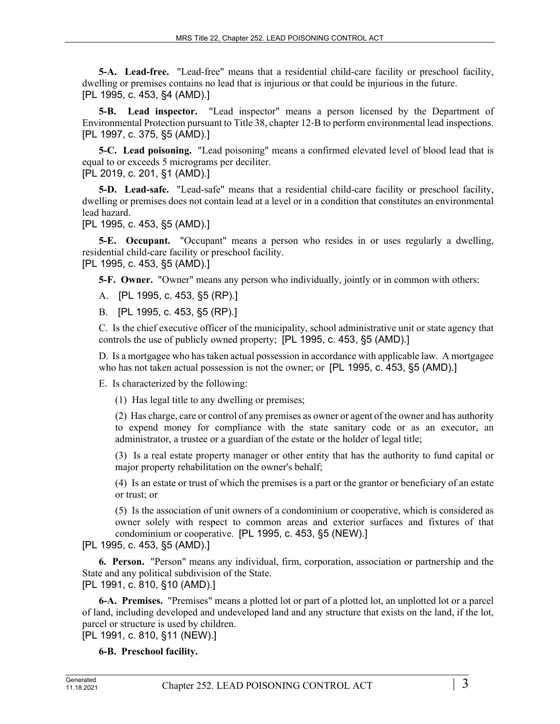**5-A. Lead-free.** "Lead-free" means that a residential child-care facility or preschool facility, dwelling or premises contains no lead that is injurious or that could be injurious in the future. [PL 1995, c. 453, §4 (AMD).]

**5-B. Lead inspector.** "Lead inspector" means a person licensed by the Department of Environmental Protection pursuant to Title 38, chapter 12‑B to perform environmental lead inspections. [PL 1997, c. 375, §5 (AMD).]

**5-C. Lead poisoning.** "Lead poisoning" means a confirmed elevated level of blood lead that is equal to or exceeds 5 micrograms per deciliter. [PL 2019, c. 201, §1 (AMD).]

**5-D. Lead-safe.** "Lead-safe" means that a residential child-care facility or preschool facility, dwelling or premises does not contain lead at a level or in a condition that constitutes an environmental lead hazard.

[PL 1995, c. 453, §5 (AMD).]

**5-E. Occupant.** "Occupant" means a person who resides in or uses regularly a dwelling, residential child-care facility or preschool facility. [PL 1995, c. 453, §5 (AMD).]

**5-F. Owner.** "Owner" means any person who individually, jointly or in common with others:

A. [PL 1995, c. 453, §5 (RP).]

B. [PL 1995, c. 453, §5 (RP).]

C. Is the chief executive officer of the municipality, school administrative unit or state agency that controls the use of publicly owned property; [PL 1995, c. 453, §5 (AMD).]

D. Is a mortgagee who has taken actual possession in accordance with applicable law. A mortgagee who has not taken actual possession is not the owner; or [PL 1995, c. 453, §5 (AMD).]

E. Is characterized by the following:

(1) Has legal title to any dwelling or premises;

(2) Has charge, care or control of any premises as owner or agent of the owner and has authority to expend money for compliance with the state sanitary code or as an executor, an administrator, a trustee or a guardian of the estate or the holder of legal title;

(3) Is a real estate property manager or other entity that has the authority to fund capital or major property rehabilitation on the owner's behalf;

(4) Is an estate or trust of which the premises is a part or the grantor or beneficiary of an estate or trust; or

(5) Is the association of unit owners of a condominium or cooperative, which is considered as owner solely with respect to common areas and exterior surfaces and fixtures of that condominium or cooperative. [PL 1995, c. 453, §5 (NEW).]

#### [PL 1995, c. 453, §5 (AMD).]

**6. Person.** "Person" means any individual, firm, corporation, association or partnership and the State and any political subdivision of the State.

[PL 1991, c. 810, §10 (AMD).]

**6-A. Premises.** "Premises" means a plotted lot or part of a plotted lot, an unplotted lot or a parcel of land, including developed and undeveloped land and any structure that exists on the land, if the lot, parcel or structure is used by children.

[PL 1991, c. 810, §11 (NEW).]

**6-B. Preschool facility.**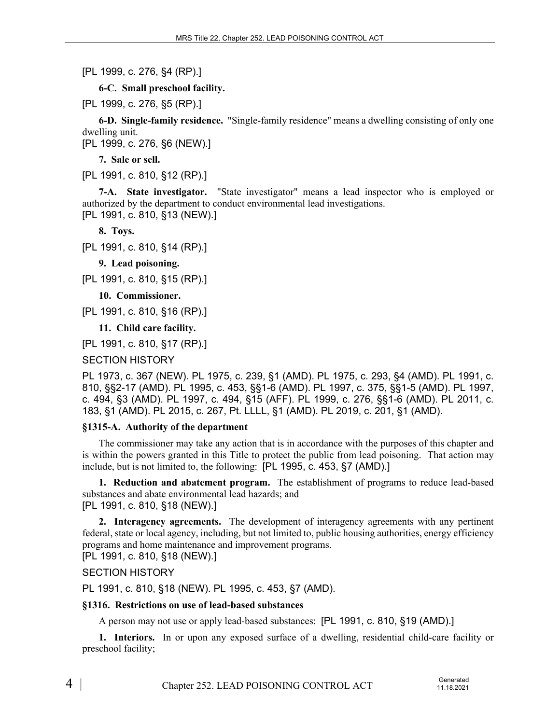[PL 1999, c. 276, §4 (RP).]

**6-C. Small preschool facility.** 

[PL 1999, c. 276, §5 (RP).]

**6-D. Single-family residence.** "Single-family residence" means a dwelling consisting of only one dwelling unit.

[PL 1999, c. 276, §6 (NEW).]

**7. Sale or sell.** 

[PL 1991, c. 810, §12 (RP).]

**7-A. State investigator.** "State investigator" means a lead inspector who is employed or authorized by the department to conduct environmental lead investigations. [PL 1991, c. 810, §13 (NEW).]

**8. Toys.** 

[PL 1991, c. 810, §14 (RP).]

**9. Lead poisoning.** 

[PL 1991, c. 810, §15 (RP).]

**10. Commissioner.** 

[PL 1991, c. 810, §16 (RP).]

**11. Child care facility.** 

[PL 1991, c. 810, §17 (RP).]

SECTION HISTORY

PL 1973, c. 367 (NEW). PL 1975, c. 239, §1 (AMD). PL 1975, c. 293, §4 (AMD). PL 1991, c. 810, §§2-17 (AMD). PL 1995, c. 453, §§1-6 (AMD). PL 1997, c. 375, §§1-5 (AMD). PL 1997, c. 494, §3 (AMD). PL 1997, c. 494, §15 (AFF). PL 1999, c. 276, §§1-6 (AMD). PL 2011, c. 183, §1 (AMD). PL 2015, c. 267, Pt. LLLL, §1 (AMD). PL 2019, c. 201, §1 (AMD).

## **§1315-A. Authority of the department**

The commissioner may take any action that is in accordance with the purposes of this chapter and is within the powers granted in this Title to protect the public from lead poisoning. That action may include, but is not limited to, the following: [PL 1995, c. 453, §7 (AMD).]

**1. Reduction and abatement program.** The establishment of programs to reduce lead-based substances and abate environmental lead hazards; and [PL 1991, c. 810, §18 (NEW).]

**2. Interagency agreements.** The development of interagency agreements with any pertinent federal, state or local agency, including, but not limited to, public housing authorities, energy efficiency programs and home maintenance and improvement programs.

[PL 1991, c. 810, §18 (NEW).]

## SECTION HISTORY

PL 1991, c. 810, §18 (NEW). PL 1995, c. 453, §7 (AMD).

#### **§1316. Restrictions on use of lead-based substances**

A person may not use or apply lead-based substances: [PL 1991, c. 810, §19 (AMD).]

**1. Interiors.** In or upon any exposed surface of a dwelling, residential child-care facility or preschool facility;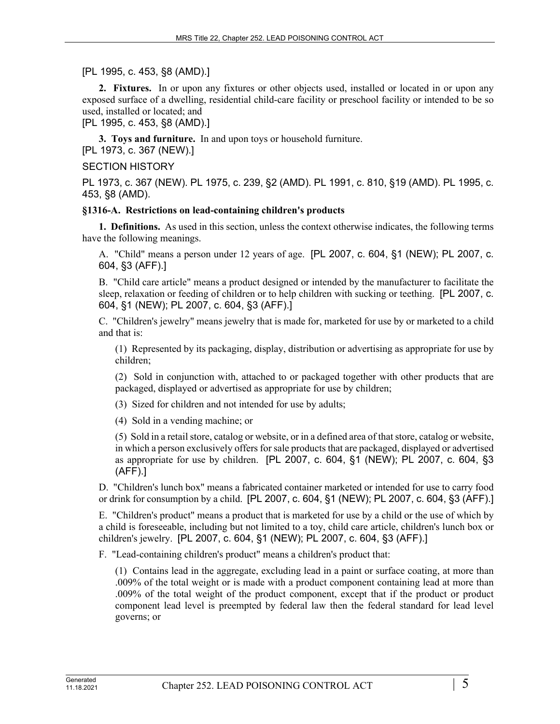[PL 1995, c. 453, §8 (AMD).]

**2. Fixtures.** In or upon any fixtures or other objects used, installed or located in or upon any exposed surface of a dwelling, residential child-care facility or preschool facility or intended to be so used, installed or located; and

[PL 1995, c. 453, §8 (AMD).]

**3. Toys and furniture.** In and upon toys or household furniture. [PL 1973, c. 367 (NEW).]

#### SECTION HISTORY

PL 1973, c. 367 (NEW). PL 1975, c. 239, §2 (AMD). PL 1991, c. 810, §19 (AMD). PL 1995, c. 453, §8 (AMD).

#### **§1316-A. Restrictions on lead-containing children's products**

**1. Definitions.** As used in this section, unless the context otherwise indicates, the following terms have the following meanings.

A. "Child" means a person under 12 years of age. [PL 2007, c. 604, §1 (NEW); PL 2007, c. 604, §3 (AFF).]

B. "Child care article" means a product designed or intended by the manufacturer to facilitate the sleep, relaxation or feeding of children or to help children with sucking or teething. [PL 2007, c. 604, §1 (NEW); PL 2007, c. 604, §3 (AFF).]

C. "Children's jewelry" means jewelry that is made for, marketed for use by or marketed to a child and that is:

(1) Represented by its packaging, display, distribution or advertising as appropriate for use by children;

(2) Sold in conjunction with, attached to or packaged together with other products that are packaged, displayed or advertised as appropriate for use by children;

(3) Sized for children and not intended for use by adults;

(4) Sold in a vending machine; or

(5) Sold in a retail store, catalog or website, or in a defined area of that store, catalog or website, in which a person exclusively offers for sale products that are packaged, displayed or advertised as appropriate for use by children. [PL 2007, c. 604, §1 (NEW); PL 2007, c. 604, §3 (AFF).]

D. "Children's lunch box" means a fabricated container marketed or intended for use to carry food or drink for consumption by a child. [PL 2007, c. 604, §1 (NEW); PL 2007, c. 604, §3 (AFF).]

E. "Children's product" means a product that is marketed for use by a child or the use of which by a child is foreseeable, including but not limited to a toy, child care article, children's lunch box or children's jewelry. [PL 2007, c. 604, §1 (NEW); PL 2007, c. 604, §3 (AFF).]

F. "Lead-containing children's product" means a children's product that:

(1) Contains lead in the aggregate, excluding lead in a paint or surface coating, at more than .009% of the total weight or is made with a product component containing lead at more than .009% of the total weight of the product component, except that if the product or product component lead level is preempted by federal law then the federal standard for lead level governs; or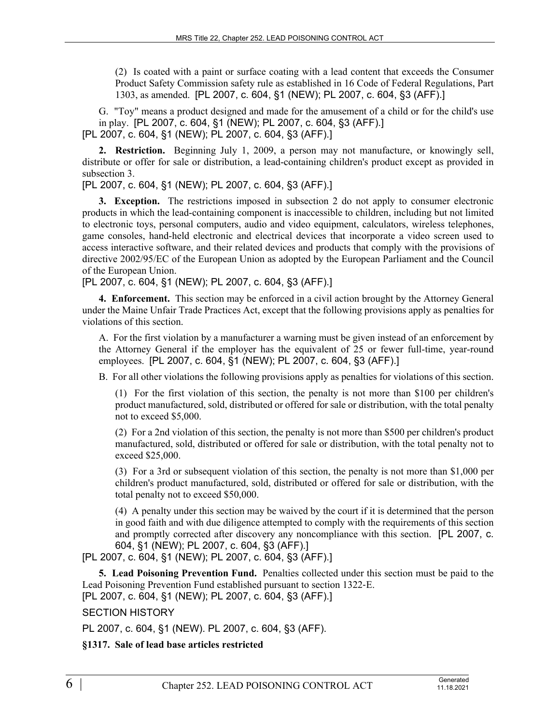(2) Is coated with a paint or surface coating with a lead content that exceeds the Consumer Product Safety Commission safety rule as established in 16 Code of Federal Regulations, Part 1303, as amended. [PL 2007, c. 604, §1 (NEW); PL 2007, c. 604, §3 (AFF).]

G. "Toy" means a product designed and made for the amusement of a child or for the child's use in play. [PL 2007, c. 604, §1 (NEW); PL 2007, c. 604, §3 (AFF).] [PL 2007, c. 604, §1 (NEW); PL 2007, c. 604, §3 (AFF).]

**2. Restriction.** Beginning July 1, 2009, a person may not manufacture, or knowingly sell, distribute or offer for sale or distribution, a lead-containing children's product except as provided in subsection 3.

[PL 2007, c. 604, §1 (NEW); PL 2007, c. 604, §3 (AFF).]

**3. Exception.** The restrictions imposed in subsection 2 do not apply to consumer electronic products in which the lead-containing component is inaccessible to children, including but not limited to electronic toys, personal computers, audio and video equipment, calculators, wireless telephones, game consoles, hand-held electronic and electrical devices that incorporate a video screen used to access interactive software, and their related devices and products that comply with the provisions of directive 2002/95/EC of the European Union as adopted by the European Parliament and the Council of the European Union.

[PL 2007, c. 604, §1 (NEW); PL 2007, c. 604, §3 (AFF).]

**4. Enforcement.** This section may be enforced in a civil action brought by the Attorney General under the Maine Unfair Trade Practices Act, except that the following provisions apply as penalties for violations of this section.

A. For the first violation by a manufacturer a warning must be given instead of an enforcement by the Attorney General if the employer has the equivalent of 25 or fewer full-time, year-round employees. [PL 2007, c. 604, §1 (NEW); PL 2007, c. 604, §3 (AFF).]

B. For all other violations the following provisions apply as penalties for violations of this section.

(1) For the first violation of this section, the penalty is not more than \$100 per children's product manufactured, sold, distributed or offered for sale or distribution, with the total penalty not to exceed \$5,000.

(2) For a 2nd violation of this section, the penalty is not more than \$500 per children's product manufactured, sold, distributed or offered for sale or distribution, with the total penalty not to exceed \$25,000.

(3) For a 3rd or subsequent violation of this section, the penalty is not more than \$1,000 per children's product manufactured, sold, distributed or offered for sale or distribution, with the total penalty not to exceed \$50,000.

(4) A penalty under this section may be waived by the court if it is determined that the person in good faith and with due diligence attempted to comply with the requirements of this section and promptly corrected after discovery any noncompliance with this section. [PL 2007, c. 604, §1 (NEW); PL 2007, c. 604, §3 (AFF).]

[PL 2007, c. 604, §1 (NEW); PL 2007, c. 604, §3 (AFF).]

**5. Lead Poisoning Prevention Fund.** Penalties collected under this section must be paid to the Lead Poisoning Prevention Fund established pursuant to section 1322‑E.

[PL 2007, c. 604, §1 (NEW); PL 2007, c. 604, §3 (AFF).]

SECTION HISTORY

PL 2007, c. 604, §1 (NEW). PL 2007, c. 604, §3 (AFF).

**§1317. Sale of lead base articles restricted**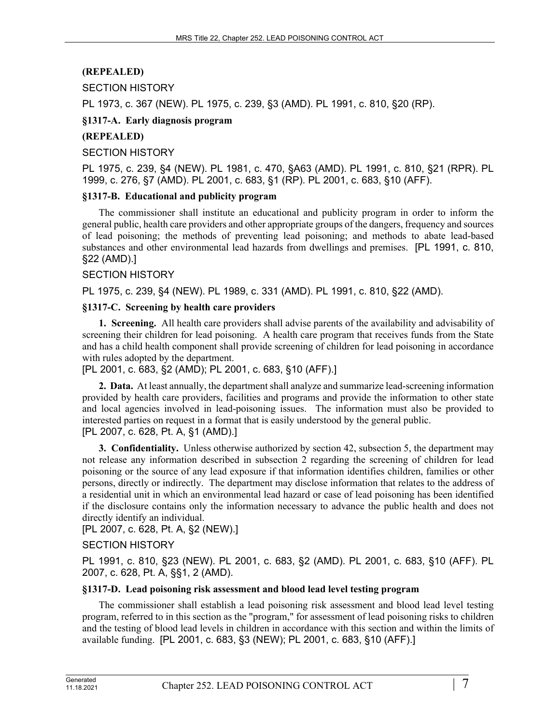# **(REPEALED)**

## SECTION HISTORY

PL 1973, c. 367 (NEW). PL 1975, c. 239, §3 (AMD). PL 1991, c. 810, §20 (RP).

## **§1317-A. Early diagnosis program**

## **(REPEALED)**

## SECTION HISTORY

PL 1975, c. 239, §4 (NEW). PL 1981, c. 470, §A63 (AMD). PL 1991, c. 810, §21 (RPR). PL 1999, c. 276, §7 (AMD). PL 2001, c. 683, §1 (RP). PL 2001, c. 683, §10 (AFF).

## **§1317-B. Educational and publicity program**

The commissioner shall institute an educational and publicity program in order to inform the general public, health care providers and other appropriate groups of the dangers, frequency and sources of lead poisoning; the methods of preventing lead poisoning; and methods to abate lead-based substances and other environmental lead hazards from dwellings and premises. [PL 1991, c. 810, §22 (AMD).]

## SECTION HISTORY

PL 1975, c. 239, §4 (NEW). PL 1989, c. 331 (AMD). PL 1991, c. 810, §22 (AMD).

## **§1317-C. Screening by health care providers**

**1. Screening.** All health care providers shall advise parents of the availability and advisability of screening their children for lead poisoning. A health care program that receives funds from the State and has a child health component shall provide screening of children for lead poisoning in accordance with rules adopted by the department.

## [PL 2001, c. 683, §2 (AMD); PL 2001, c. 683, §10 (AFF).]

**2. Data.** At least annually, the department shall analyze and summarize lead-screening information provided by health care providers, facilities and programs and provide the information to other state and local agencies involved in lead-poisoning issues. The information must also be provided to interested parties on request in a format that is easily understood by the general public. [PL 2007, c. 628, Pt. A, §1 (AMD).]

**3. Confidentiality.** Unless otherwise authorized by section 42, subsection 5, the department may not release any information described in subsection 2 regarding the screening of children for lead poisoning or the source of any lead exposure if that information identifies children, families or other persons, directly or indirectly. The department may disclose information that relates to the address of a residential unit in which an environmental lead hazard or case of lead poisoning has been identified if the disclosure contains only the information necessary to advance the public health and does not directly identify an individual.

[PL 2007, c. 628, Pt. A, §2 (NEW).]

# SECTION HISTORY

PL 1991, c. 810, §23 (NEW). PL 2001, c. 683, §2 (AMD). PL 2001, c. 683, §10 (AFF). PL 2007, c. 628, Pt. A, §§1, 2 (AMD).

## **§1317-D. Lead poisoning risk assessment and blood lead level testing program**

The commissioner shall establish a lead poisoning risk assessment and blood lead level testing program, referred to in this section as the "program," for assessment of lead poisoning risks to children and the testing of blood lead levels in children in accordance with this section and within the limits of available funding. [PL 2001, c. 683, §3 (NEW); PL 2001, c. 683, §10 (AFF).]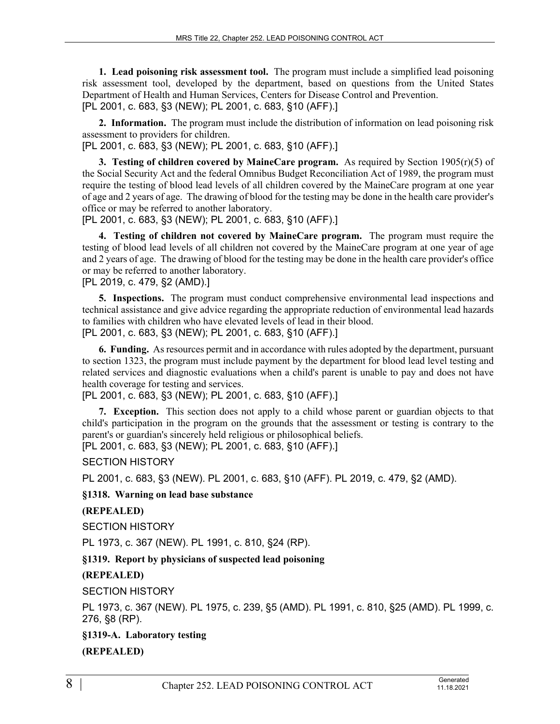**1. Lead poisoning risk assessment tool.** The program must include a simplified lead poisoning risk assessment tool, developed by the department, based on questions from the United States Department of Health and Human Services, Centers for Disease Control and Prevention. [PL 2001, c. 683, §3 (NEW); PL 2001, c. 683, §10 (AFF).]

**2. Information.** The program must include the distribution of information on lead poisoning risk assessment to providers for children.

[PL 2001, c. 683, §3 (NEW); PL 2001, c. 683, §10 (AFF).]

**3. Testing of children covered by MaineCare program.** As required by Section  $1905(r)(5)$  of the Social Security Act and the federal Omnibus Budget Reconciliation Act of 1989, the program must require the testing of blood lead levels of all children covered by the MaineCare program at one year of age and 2 years of age. The drawing of blood for the testing may be done in the health care provider's office or may be referred to another laboratory.

[PL 2001, c. 683, §3 (NEW); PL 2001, c. 683, §10 (AFF).]

**4. Testing of children not covered by MaineCare program.** The program must require the testing of blood lead levels of all children not covered by the MaineCare program at one year of age and 2 years of age. The drawing of blood for the testing may be done in the health care provider's office or may be referred to another laboratory.

[PL 2019, c. 479, §2 (AMD).]

**5. Inspections.** The program must conduct comprehensive environmental lead inspections and technical assistance and give advice regarding the appropriate reduction of environmental lead hazards to families with children who have elevated levels of lead in their blood. [PL 2001, c. 683, §3 (NEW); PL 2001, c. 683, §10 (AFF).]

**6. Funding.** As resources permit and in accordance with rules adopted by the department, pursuant to section 1323, the program must include payment by the department for blood lead level testing and related services and diagnostic evaluations when a child's parent is unable to pay and does not have health coverage for testing and services.

[PL 2001, c. 683, §3 (NEW); PL 2001, c. 683, §10 (AFF).]

**7. Exception.** This section does not apply to a child whose parent or guardian objects to that child's participation in the program on the grounds that the assessment or testing is contrary to the parent's or guardian's sincerely held religious or philosophical beliefs.

[PL 2001, c. 683, §3 (NEW); PL 2001, c. 683, §10 (AFF).]

SECTION HISTORY

PL 2001, c. 683, §3 (NEW). PL 2001, c. 683, §10 (AFF). PL 2019, c. 479, §2 (AMD).

**§1318. Warning on lead base substance**

## **(REPEALED)**

SECTION HISTORY

PL 1973, c. 367 (NEW). PL 1991, c. 810, §24 (RP).

**§1319. Report by physicians of suspected lead poisoning**

**(REPEALED)**

SECTION HISTORY

PL 1973, c. 367 (NEW). PL 1975, c. 239, §5 (AMD). PL 1991, c. 810, §25 (AMD). PL 1999, c. 276, §8 (RP).

**§1319-A. Laboratory testing**

**(REPEALED)**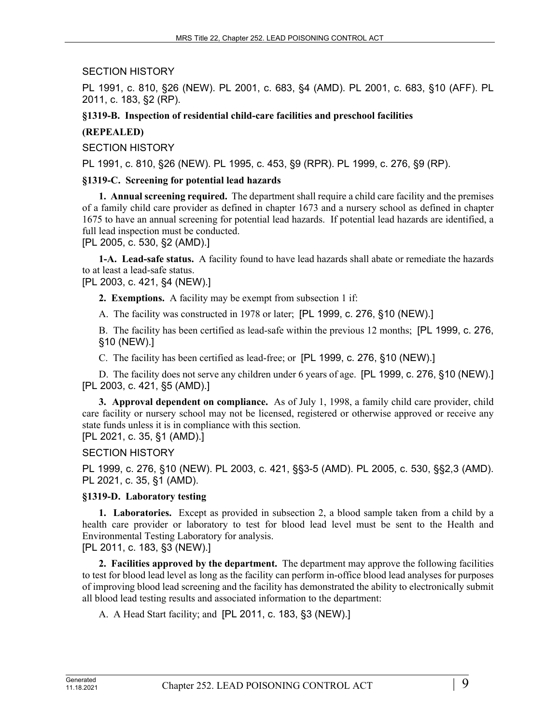### SECTION HISTORY

PL 1991, c. 810, §26 (NEW). PL 2001, c. 683, §4 (AMD). PL 2001, c. 683, §10 (AFF). PL 2011, c. 183, §2 (RP).

**§1319-B. Inspection of residential child-care facilities and preschool facilities**

## **(REPEALED)**

SECTION HISTORY

PL 1991, c. 810, §26 (NEW). PL 1995, c. 453, §9 (RPR). PL 1999, c. 276, §9 (RP).

#### **§1319-C. Screening for potential lead hazards**

**1. Annual screening required.** The department shall require a child care facility and the premises of a family child care provider as defined in chapter 1673 and a nursery school as defined in chapter 1675 to have an annual screening for potential lead hazards. If potential lead hazards are identified, a full lead inspection must be conducted.

[PL 2005, c. 530, §2 (AMD).]

**1-A. Lead-safe status.** A facility found to have lead hazards shall abate or remediate the hazards to at least a lead-safe status.

[PL 2003, c. 421, §4 (NEW).]

**2. Exemptions.** A facility may be exempt from subsection 1 if:

A. The facility was constructed in 1978 or later; [PL 1999, c. 276, §10 (NEW).]

B. The facility has been certified as lead-safe within the previous 12 months; [PL 1999, c. 276, §10 (NEW).]

C. The facility has been certified as lead-free; or [PL 1999, c. 276, §10 (NEW).]

D. The facility does not serve any children under 6 years of age. [PL 1999, c. 276, §10 (NEW).] [PL 2003, c. 421, §5 (AMD).]

**3. Approval dependent on compliance.** As of July 1, 1998, a family child care provider, child care facility or nursery school may not be licensed, registered or otherwise approved or receive any state funds unless it is in compliance with this section.

[PL 2021, c. 35, §1 (AMD).]

#### SECTION HISTORY

PL 1999, c. 276, §10 (NEW). PL 2003, c. 421, §§3-5 (AMD). PL 2005, c. 530, §§2,3 (AMD). PL 2021, c. 35, §1 (AMD).

#### **§1319-D. Laboratory testing**

**1. Laboratories.** Except as provided in subsection 2, a blood sample taken from a child by a health care provider or laboratory to test for blood lead level must be sent to the Health and Environmental Testing Laboratory for analysis.

[PL 2011, c. 183, §3 (NEW).]

**2. Facilities approved by the department.** The department may approve the following facilities to test for blood lead level as long as the facility can perform in-office blood lead analyses for purposes of improving blood lead screening and the facility has demonstrated the ability to electronically submit all blood lead testing results and associated information to the department:

A. A Head Start facility; and [PL 2011, c. 183, §3 (NEW).]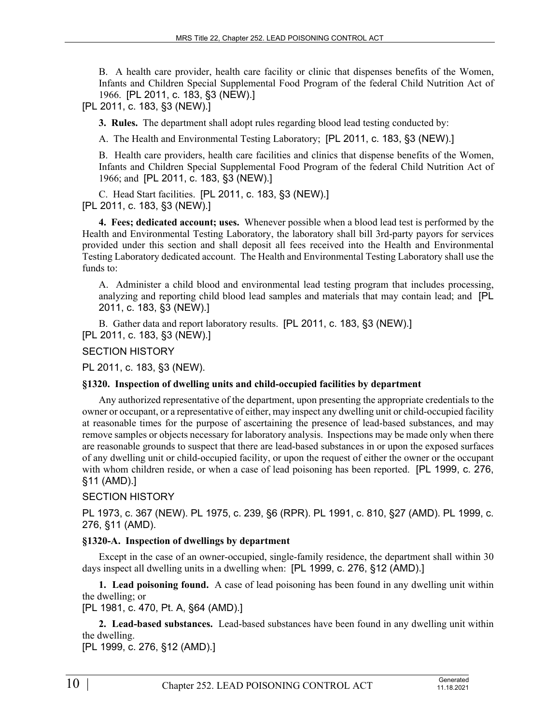B. A health care provider, health care facility or clinic that dispenses benefits of the Women, Infants and Children Special Supplemental Food Program of the federal Child Nutrition Act of 1966. [PL 2011, c. 183, §3 (NEW).]

[PL 2011, c. 183, §3 (NEW).]

**3. Rules.** The department shall adopt rules regarding blood lead testing conducted by:

A. The Health and Environmental Testing Laboratory; [PL 2011, c. 183, §3 (NEW).]

B. Health care providers, health care facilities and clinics that dispense benefits of the Women, Infants and Children Special Supplemental Food Program of the federal Child Nutrition Act of 1966; and [PL 2011, c. 183, §3 (NEW).]

C. Head Start facilities. [PL 2011, c. 183, §3 (NEW).] [PL 2011, c. 183, §3 (NEW).]

**4. Fees; dedicated account; uses.** Whenever possible when a blood lead test is performed by the Health and Environmental Testing Laboratory, the laboratory shall bill 3rd-party payors for services provided under this section and shall deposit all fees received into the Health and Environmental Testing Laboratory dedicated account. The Health and Environmental Testing Laboratory shall use the funds to:

A. Administer a child blood and environmental lead testing program that includes processing, analyzing and reporting child blood lead samples and materials that may contain lead; and [PL 2011, c. 183, §3 (NEW).]

B. Gather data and report laboratory results. [PL 2011, c. 183, §3 (NEW).] [PL 2011, c. 183, §3 (NEW).]

## SECTION HISTORY

PL 2011, c. 183, §3 (NEW).

## **§1320. Inspection of dwelling units and child-occupied facilities by department**

Any authorized representative of the department, upon presenting the appropriate credentials to the owner or occupant, or a representative of either, may inspect any dwelling unit or child-occupied facility at reasonable times for the purpose of ascertaining the presence of lead-based substances, and may remove samples or objects necessary for laboratory analysis. Inspections may be made only when there are reasonable grounds to suspect that there are lead-based substances in or upon the exposed surfaces of any dwelling unit or child-occupied facility, or upon the request of either the owner or the occupant with whom children reside, or when a case of lead poisoning has been reported. [PL 1999, c. 276, §11 (AMD).]

## SECTION HISTORY

PL 1973, c. 367 (NEW). PL 1975, c. 239, §6 (RPR). PL 1991, c. 810, §27 (AMD). PL 1999, c. 276, §11 (AMD).

## **§1320-A. Inspection of dwellings by department**

Except in the case of an owner-occupied, single-family residence, the department shall within 30 days inspect all dwelling units in a dwelling when: [PL 1999, c. 276, §12 (AMD).]

**1. Lead poisoning found.** A case of lead poisoning has been found in any dwelling unit within the dwelling; or

[PL 1981, c. 470, Pt. A, §64 (AMD).]

**2. Lead-based substances.** Lead-based substances have been found in any dwelling unit within the dwelling.

[PL 1999, c. 276, §12 (AMD).]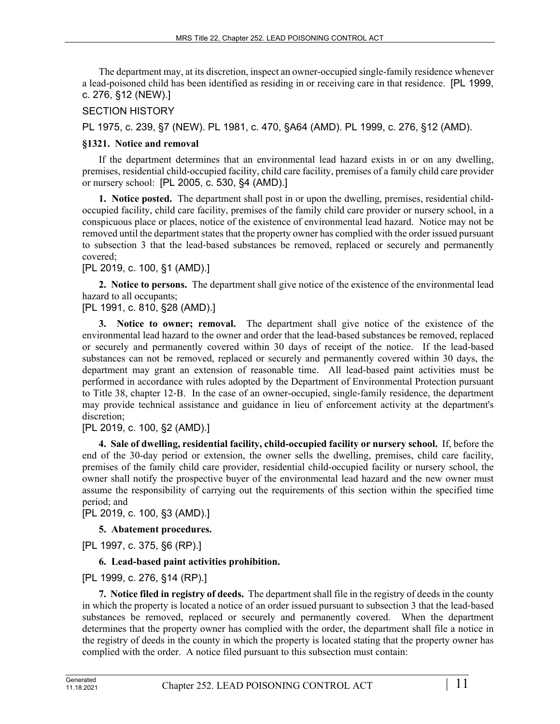The department may, at its discretion, inspect an owner-occupied single-family residence whenever a lead-poisoned child has been identified as residing in or receiving care in that residence. [PL 1999, c. 276, §12 (NEW).]

## SECTION HISTORY

PL 1975, c. 239, §7 (NEW). PL 1981, c. 470, §A64 (AMD). PL 1999, c. 276, §12 (AMD).

## **§1321. Notice and removal**

If the department determines that an environmental lead hazard exists in or on any dwelling, premises, residential child-occupied facility, child care facility, premises of a family child care provider or nursery school: [PL 2005, c. 530, §4 (AMD).]

**1. Notice posted.** The department shall post in or upon the dwelling, premises, residential childoccupied facility, child care facility, premises of the family child care provider or nursery school, in a conspicuous place or places, notice of the existence of environmental lead hazard. Notice may not be removed until the department states that the property owner has complied with the order issued pursuant to subsection 3 that the lead-based substances be removed, replaced or securely and permanently covered;

## [PL 2019, c. 100, §1 (AMD).]

**2. Notice to persons.** The department shall give notice of the existence of the environmental lead hazard to all occupants;

[PL 1991, c. 810, §28 (AMD).]

**3. Notice to owner; removal.** The department shall give notice of the existence of the environmental lead hazard to the owner and order that the lead-based substances be removed, replaced or securely and permanently covered within 30 days of receipt of the notice. If the lead-based substances can not be removed, replaced or securely and permanently covered within 30 days, the department may grant an extension of reasonable time. All lead-based paint activities must be performed in accordance with rules adopted by the Department of Environmental Protection pursuant to Title 38, chapter 12‑B. In the case of an owner-occupied, single-family residence, the department may provide technical assistance and guidance in lieu of enforcement activity at the department's discretion;

[PL 2019, c. 100, §2 (AMD).]

**4. Sale of dwelling, residential facility, child-occupied facility or nursery school.** If, before the end of the 30-day period or extension, the owner sells the dwelling, premises, child care facility, premises of the family child care provider, residential child-occupied facility or nursery school, the owner shall notify the prospective buyer of the environmental lead hazard and the new owner must assume the responsibility of carrying out the requirements of this section within the specified time period; and

[PL 2019, c. 100, §3 (AMD).]

**5. Abatement procedures.** 

[PL 1997, c. 375, §6 (RP).]

# **6. Lead-based paint activities prohibition.**

[PL 1999, c. 276, §14 (RP).]

**7. Notice filed in registry of deeds.** The department shall file in the registry of deeds in the county in which the property is located a notice of an order issued pursuant to subsection 3 that the lead-based substances be removed, replaced or securely and permanently covered. When the department determines that the property owner has complied with the order, the department shall file a notice in the registry of deeds in the county in which the property is located stating that the property owner has complied with the order. A notice filed pursuant to this subsection must contain: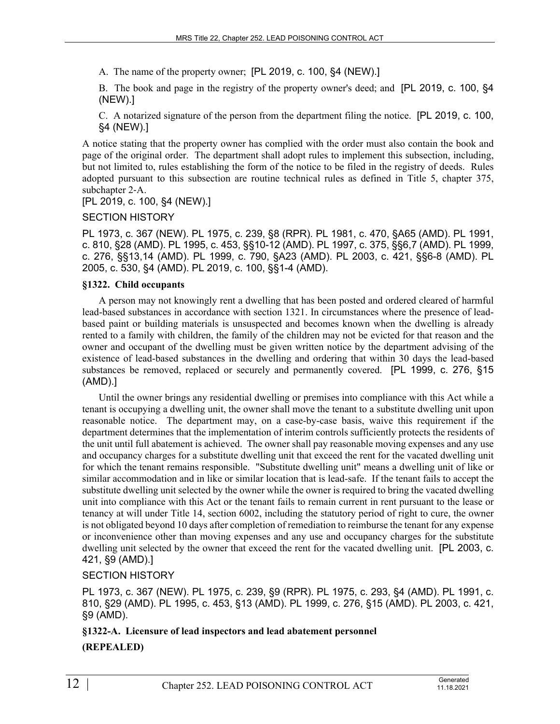A. The name of the property owner; [PL 2019, c. 100, §4 (NEW).]

B. The book and page in the registry of the property owner's deed; and [PL 2019, c. 100, §4 (NEW).]

C. A notarized signature of the person from the department filing the notice. [PL 2019, c. 100, §4 (NEW).]

A notice stating that the property owner has complied with the order must also contain the book and page of the original order. The department shall adopt rules to implement this subsection, including, but not limited to, rules establishing the form of the notice to be filed in the registry of deeds. Rules adopted pursuant to this subsection are routine technical rules as defined in Title 5, chapter 375, subchapter 2‑A.

[PL 2019, c. 100, §4 (NEW).]

#### SECTION HISTORY

PL 1973, c. 367 (NEW). PL 1975, c. 239, §8 (RPR). PL 1981, c. 470, §A65 (AMD). PL 1991, c. 810, §28 (AMD). PL 1995, c. 453, §§10-12 (AMD). PL 1997, c. 375, §§6,7 (AMD). PL 1999, c. 276, §§13,14 (AMD). PL 1999, c. 790, §A23 (AMD). PL 2003, c. 421, §§6-8 (AMD). PL 2005, c. 530, §4 (AMD). PL 2019, c. 100, §§1-4 (AMD).

#### **§1322. Child occupants**

A person may not knowingly rent a dwelling that has been posted and ordered cleared of harmful lead-based substances in accordance with section 1321. In circumstances where the presence of leadbased paint or building materials is unsuspected and becomes known when the dwelling is already rented to a family with children, the family of the children may not be evicted for that reason and the owner and occupant of the dwelling must be given written notice by the department advising of the existence of lead-based substances in the dwelling and ordering that within 30 days the lead-based substances be removed, replaced or securely and permanently covered. [PL 1999, c. 276, §15 (AMD).]

Until the owner brings any residential dwelling or premises into compliance with this Act while a tenant is occupying a dwelling unit, the owner shall move the tenant to a substitute dwelling unit upon reasonable notice. The department may, on a case-by-case basis, waive this requirement if the department determines that the implementation of interim controls sufficiently protects the residents of the unit until full abatement is achieved. The owner shall pay reasonable moving expenses and any use and occupancy charges for a substitute dwelling unit that exceed the rent for the vacated dwelling unit for which the tenant remains responsible. "Substitute dwelling unit" means a dwelling unit of like or similar accommodation and in like or similar location that is lead-safe. If the tenant fails to accept the substitute dwelling unit selected by the owner while the owner is required to bring the vacated dwelling unit into compliance with this Act or the tenant fails to remain current in rent pursuant to the lease or tenancy at will under Title 14, section 6002, including the statutory period of right to cure, the owner is not obligated beyond 10 days after completion of remediation to reimburse the tenant for any expense or inconvenience other than moving expenses and any use and occupancy charges for the substitute dwelling unit selected by the owner that exceed the rent for the vacated dwelling unit. [PL 2003, c. 421, §9 (AMD).]

#### SECTION HISTORY

PL 1973, c. 367 (NEW). PL 1975, c. 239, §9 (RPR). PL 1975, c. 293, §4 (AMD). PL 1991, c. 810, §29 (AMD). PL 1995, c. 453, §13 (AMD). PL 1999, c. 276, §15 (AMD). PL 2003, c. 421, §9 (AMD).

#### **§1322-A. Licensure of lead inspectors and lead abatement personnel**

**(REPEALED)**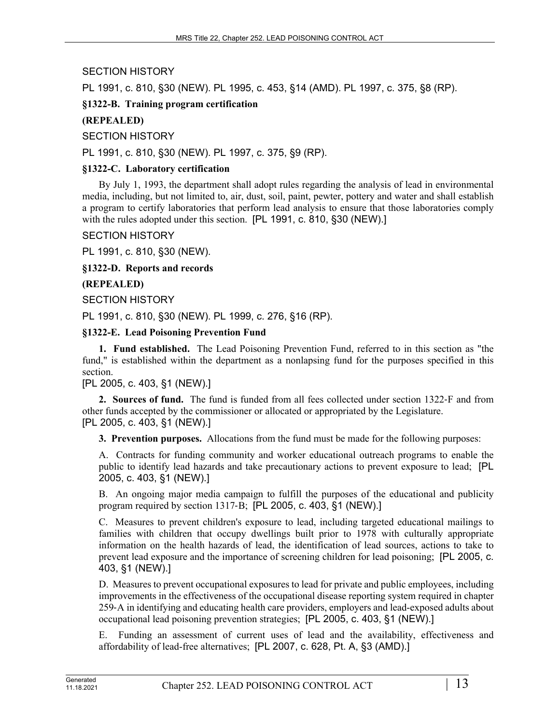SECTION HISTORY

PL 1991, c. 810, §30 (NEW). PL 1995, c. 453, §14 (AMD). PL 1997, c. 375, §8 (RP).

## **§1322-B. Training program certification**

# **(REPEALED)**

SECTION HISTORY

PL 1991, c. 810, §30 (NEW). PL 1997, c. 375, §9 (RP).

## **§1322-C. Laboratory certification**

By July 1, 1993, the department shall adopt rules regarding the analysis of lead in environmental media, including, but not limited to, air, dust, soil, paint, pewter, pottery and water and shall establish a program to certify laboratories that perform lead analysis to ensure that those laboratories comply with the rules adopted under this section. [PL 1991, c. 810, §30 (NEW).]

## SECTION HISTORY

PL 1991, c. 810, §30 (NEW).

**§1322-D. Reports and records**

## **(REPEALED)**

SECTION HISTORY

PL 1991, c. 810, §30 (NEW). PL 1999, c. 276, §16 (RP).

## **§1322-E. Lead Poisoning Prevention Fund**

**1. Fund established.** The Lead Poisoning Prevention Fund, referred to in this section as "the fund," is established within the department as a nonlapsing fund for the purposes specified in this section.

## [PL 2005, c. 403, §1 (NEW).]

**2. Sources of fund.** The fund is funded from all fees collected under section 1322‑F and from other funds accepted by the commissioner or allocated or appropriated by the Legislature. [PL 2005, c. 403, §1 (NEW).]

**3. Prevention purposes.** Allocations from the fund must be made for the following purposes:

A. Contracts for funding community and worker educational outreach programs to enable the public to identify lead hazards and take precautionary actions to prevent exposure to lead; [PL 2005, c. 403, §1 (NEW).]

B. An ongoing major media campaign to fulfill the purposes of the educational and publicity program required by section 1317‑B; [PL 2005, c. 403, §1 (NEW).]

C. Measures to prevent children's exposure to lead, including targeted educational mailings to families with children that occupy dwellings built prior to 1978 with culturally appropriate information on the health hazards of lead, the identification of lead sources, actions to take to prevent lead exposure and the importance of screening children for lead poisoning; [PL 2005, c. 403, §1 (NEW).]

D. Measures to prevent occupational exposures to lead for private and public employees, including improvements in the effectiveness of the occupational disease reporting system required in chapter 259‑A in identifying and educating health care providers, employers and lead-exposed adults about occupational lead poisoning prevention strategies; [PL 2005, c. 403, §1 (NEW).]

E. Funding an assessment of current uses of lead and the availability, effectiveness and affordability of lead-free alternatives; [PL 2007, c. 628, Pt. A, §3 (AMD).]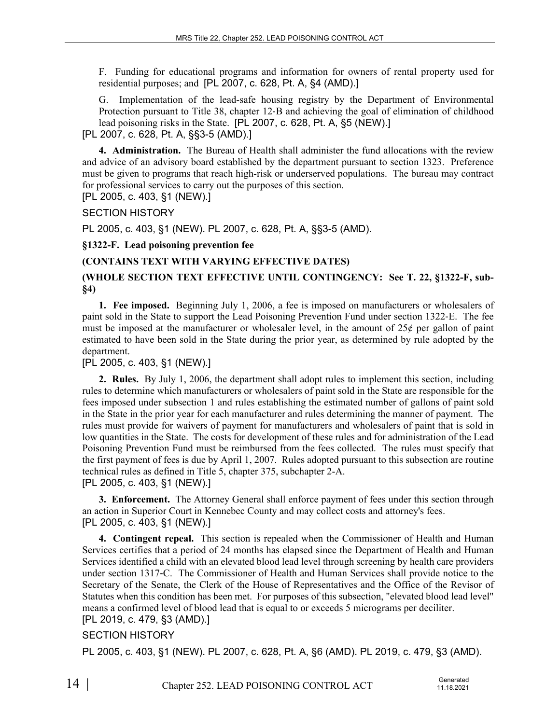F. Funding for educational programs and information for owners of rental property used for residential purposes; and [PL 2007, c. 628, Pt. A, §4 (AMD).]

G. Implementation of the lead-safe housing registry by the Department of Environmental Protection pursuant to Title 38, chapter 12‑B and achieving the goal of elimination of childhood lead poisoning risks in the State. [PL 2007, c. 628, Pt. A, §5 (NEW).]

## [PL 2007, c. 628, Pt. A, §§3-5 (AMD).]

**4. Administration.** The Bureau of Health shall administer the fund allocations with the review and advice of an advisory board established by the department pursuant to section 1323. Preference must be given to programs that reach high-risk or underserved populations. The bureau may contract for professional services to carry out the purposes of this section.

[PL 2005, c. 403, §1 (NEW).]

SECTION HISTORY

PL 2005, c. 403, §1 (NEW). PL 2007, c. 628, Pt. A, §§3-5 (AMD).

## **§1322-F. Lead poisoning prevention fee**

## **(CONTAINS TEXT WITH VARYING EFFECTIVE DATES)**

## **(WHOLE SECTION TEXT EFFECTIVE UNTIL CONTINGENCY: See T. 22, §1322-F, sub- §4)**

**1. Fee imposed.** Beginning July 1, 2006, a fee is imposed on manufacturers or wholesalers of paint sold in the State to support the Lead Poisoning Prevention Fund under section 1322‑E. The fee must be imposed at the manufacturer or wholesaler level, in the amount of 25¢ per gallon of paint estimated to have been sold in the State during the prior year, as determined by rule adopted by the department.

## [PL 2005, c. 403, §1 (NEW).]

**2. Rules.** By July 1, 2006, the department shall adopt rules to implement this section, including rules to determine which manufacturers or wholesalers of paint sold in the State are responsible for the fees imposed under subsection 1 and rules establishing the estimated number of gallons of paint sold in the State in the prior year for each manufacturer and rules determining the manner of payment. The rules must provide for waivers of payment for manufacturers and wholesalers of paint that is sold in low quantities in the State. The costs for development of these rules and for administration of the Lead Poisoning Prevention Fund must be reimbursed from the fees collected. The rules must specify that the first payment of fees is due by April 1, 2007. Rules adopted pursuant to this subsection are routine technical rules as defined in Title 5, chapter 375, subchapter 2-A. [PL 2005, c. 403, §1 (NEW).]

**3. Enforcement.** The Attorney General shall enforce payment of fees under this section through an action in Superior Court in Kennebec County and may collect costs and attorney's fees. [PL 2005, c. 403, §1 (NEW).]

**4. Contingent repeal.** This section is repealed when the Commissioner of Health and Human Services certifies that a period of 24 months has elapsed since the Department of Health and Human Services identified a child with an elevated blood lead level through screening by health care providers under section 1317‑C. The Commissioner of Health and Human Services shall provide notice to the Secretary of the Senate, the Clerk of the House of Representatives and the Office of the Revisor of Statutes when this condition has been met. For purposes of this subsection, "elevated blood lead level" means a confirmed level of blood lead that is equal to or exceeds 5 micrograms per deciliter. [PL 2019, c. 479, §3 (AMD).]

## SECTION HISTORY

PL 2005, c. 403, §1 (NEW). PL 2007, c. 628, Pt. A, §6 (AMD). PL 2019, c. 479, §3 (AMD).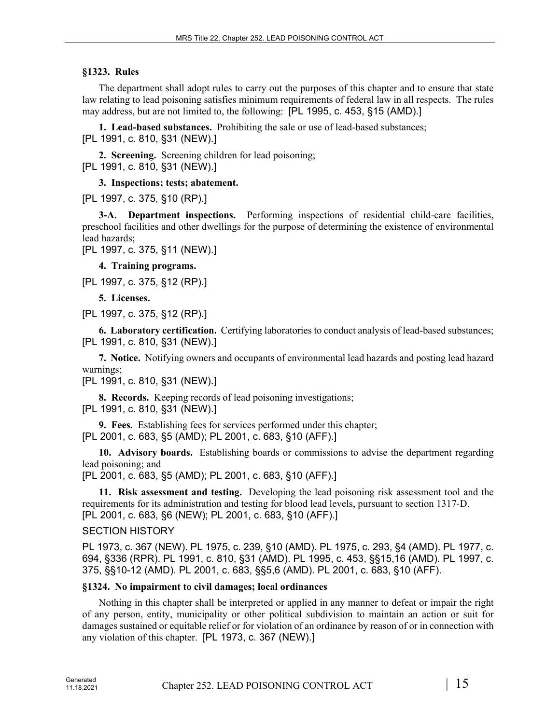## **§1323. Rules**

The department shall adopt rules to carry out the purposes of this chapter and to ensure that state law relating to lead poisoning satisfies minimum requirements of federal law in all respects. The rules may address, but are not limited to, the following: [PL 1995, c. 453, §15 (AMD).]

**1. Lead-based substances.** Prohibiting the sale or use of lead-based substances; [PL 1991, c. 810, §31 (NEW).]

**2. Screening.** Screening children for lead poisoning; [PL 1991, c. 810, §31 (NEW).]

### **3. Inspections; tests; abatement.**

[PL 1997, c. 375, §10 (RP).]

**3-A. Department inspections.** Performing inspections of residential child-care facilities, preschool facilities and other dwellings for the purpose of determining the existence of environmental lead hazards;

[PL 1997, c. 375, §11 (NEW).]

**4. Training programs.** 

[PL 1997, c. 375, §12 (RP).]

**5. Licenses.** 

[PL 1997, c. 375, §12 (RP).]

**6. Laboratory certification.** Certifying laboratories to conduct analysis of lead-based substances; [PL 1991, c. 810, §31 (NEW).]

**7. Notice.** Notifying owners and occupants of environmental lead hazards and posting lead hazard warnings;

[PL 1991, c. 810, §31 (NEW).]

**8. Records.** Keeping records of lead poisoning investigations; [PL 1991, c. 810, §31 (NEW).]

**9. Fees.** Establishing fees for services performed under this chapter; [PL 2001, c. 683, §5 (AMD); PL 2001, c. 683, §10 (AFF).]

**10. Advisory boards.** Establishing boards or commissions to advise the department regarding lead poisoning; and

[PL 2001, c. 683, §5 (AMD); PL 2001, c. 683, §10 (AFF).]

**11. Risk assessment and testing.** Developing the lead poisoning risk assessment tool and the requirements for its administration and testing for blood lead levels, pursuant to section 1317‑D. [PL 2001, c. 683, §6 (NEW); PL 2001, c. 683, §10 (AFF).]

#### SECTION HISTORY

PL 1973, c. 367 (NEW). PL 1975, c. 239, §10 (AMD). PL 1975, c. 293, §4 (AMD). PL 1977, c. 694, §336 (RPR). PL 1991, c. 810, §31 (AMD). PL 1995, c. 453, §§15,16 (AMD). PL 1997, c. 375, §§10-12 (AMD). PL 2001, c. 683, §§5,6 (AMD). PL 2001, c. 683, §10 (AFF).

## **§1324. No impairment to civil damages; local ordinances**

Nothing in this chapter shall be interpreted or applied in any manner to defeat or impair the right of any person, entity, municipality or other political subdivision to maintain an action or suit for damages sustained or equitable relief or for violation of an ordinance by reason of or in connection with any violation of this chapter. [PL 1973, c. 367 (NEW).]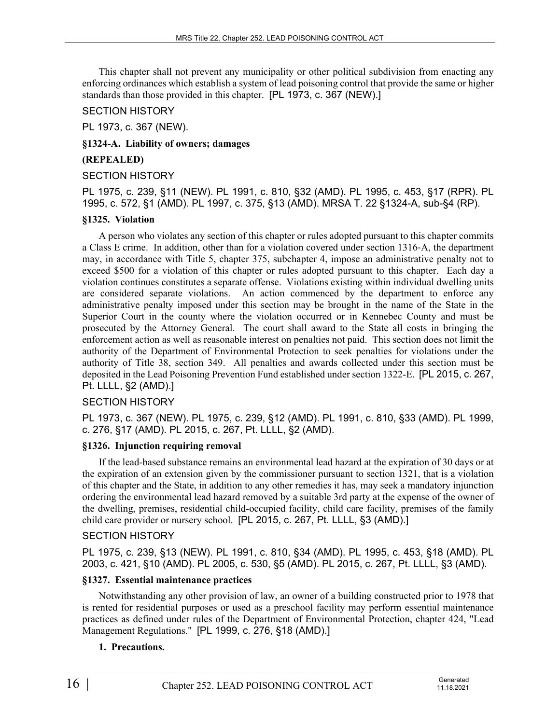This chapter shall not prevent any municipality or other political subdivision from enacting any enforcing ordinances which establish a system of lead poisoning control that provide the same or higher standards than those provided in this chapter. [PL 1973, c. 367 (NEW).]

### SECTION HISTORY

PL 1973, c. 367 (NEW).

**§1324-A. Liability of owners; damages**

### **(REPEALED)**

### SECTION HISTORY

PL 1975, c. 239, §11 (NEW). PL 1991, c. 810, §32 (AMD). PL 1995, c. 453, §17 (RPR). PL 1995, c. 572, §1 (AMD). PL 1997, c. 375, §13 (AMD). MRSA T. 22 §1324-A, sub-§4 (RP).

## **§1325. Violation**

A person who violates any section of this chapter or rules adopted pursuant to this chapter commits a Class E crime. In addition, other than for a violation covered under section 1316‑A, the department may, in accordance with Title 5, chapter 375, subchapter 4, impose an administrative penalty not to exceed \$500 for a violation of this chapter or rules adopted pursuant to this chapter. Each day a violation continues constitutes a separate offense. Violations existing within individual dwelling units are considered separate violations. An action commenced by the department to enforce any administrative penalty imposed under this section may be brought in the name of the State in the Superior Court in the county where the violation occurred or in Kennebec County and must be prosecuted by the Attorney General. The court shall award to the State all costs in bringing the enforcement action as well as reasonable interest on penalties not paid. This section does not limit the authority of the Department of Environmental Protection to seek penalties for violations under the authority of Title 38, section 349. All penalties and awards collected under this section must be deposited in the Lead Poisoning Prevention Fund established under section 1322-E. [PL 2015, c. 267, Pt. LLLL, §2 (AMD).]

## SECTION HISTORY

PL 1973, c. 367 (NEW). PL 1975, c. 239, §12 (AMD). PL 1991, c. 810, §33 (AMD). PL 1999, c. 276, §17 (AMD). PL 2015, c. 267, Pt. LLLL, §2 (AMD).

## **§1326. Injunction requiring removal**

If the lead-based substance remains an environmental lead hazard at the expiration of 30 days or at the expiration of an extension given by the commissioner pursuant to section 1321, that is a violation of this chapter and the State, in addition to any other remedies it has, may seek a mandatory injunction ordering the environmental lead hazard removed by a suitable 3rd party at the expense of the owner of the dwelling, premises, residential child-occupied facility, child care facility, premises of the family child care provider or nursery school. [PL 2015, c. 267, Pt. LLLL, §3 (AMD).]

## SECTION HISTORY

PL 1975, c. 239, §13 (NEW). PL 1991, c. 810, §34 (AMD). PL 1995, c. 453, §18 (AMD). PL 2003, c. 421, §10 (AMD). PL 2005, c. 530, §5 (AMD). PL 2015, c. 267, Pt. LLLL, §3 (AMD).

## **§1327. Essential maintenance practices**

Notwithstanding any other provision of law, an owner of a building constructed prior to 1978 that is rented for residential purposes or used as a preschool facility may perform essential maintenance practices as defined under rules of the Department of Environmental Protection, chapter 424, "Lead Management Regulations." [PL 1999, c. 276, §18 (AMD).]

## **1. Precautions.**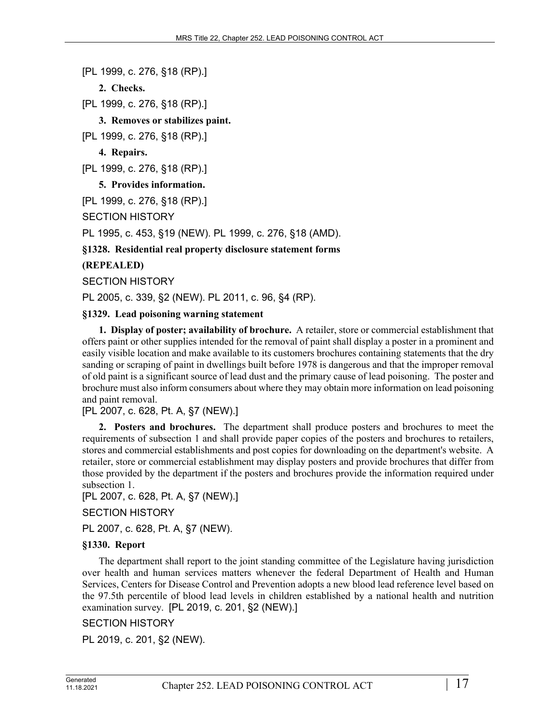[PL 1999, c. 276, §18 (RP).]

**2. Checks.** 

[PL 1999, c. 276, §18 (RP).]

**3. Removes or stabilizes paint.** 

[PL 1999, c. 276, §18 (RP).]

**4. Repairs.** 

[PL 1999, c. 276, §18 (RP).]

**5. Provides information.** 

[PL 1999, c. 276, §18 (RP).]

SECTION HISTORY

PL 1995, c. 453, §19 (NEW). PL 1999, c. 276, §18 (AMD).

**§1328. Residential real property disclosure statement forms**

**(REPEALED)**

SECTION HISTORY

PL 2005, c. 339, §2 (NEW). PL 2011, c. 96, §4 (RP).

### **§1329. Lead poisoning warning statement**

**1. Display of poster; availability of brochure.** A retailer, store or commercial establishment that offers paint or other supplies intended for the removal of paint shall display a poster in a prominent and easily visible location and make available to its customers brochures containing statements that the dry sanding or scraping of paint in dwellings built before 1978 is dangerous and that the improper removal of old paint is a significant source of lead dust and the primary cause of lead poisoning. The poster and brochure must also inform consumers about where they may obtain more information on lead poisoning and paint removal.

[PL 2007, c. 628, Pt. A, §7 (NEW).]

**2. Posters and brochures.** The department shall produce posters and brochures to meet the requirements of subsection 1 and shall provide paper copies of the posters and brochures to retailers, stores and commercial establishments and post copies for downloading on the department's website. A retailer, store or commercial establishment may display posters and provide brochures that differ from those provided by the department if the posters and brochures provide the information required under subsection 1.

[PL 2007, c. 628, Pt. A, §7 (NEW).]

SECTION HISTORY

PL 2007, c. 628, Pt. A, §7 (NEW).

#### **§1330. Report**

The department shall report to the joint standing committee of the Legislature having jurisdiction over health and human services matters whenever the federal Department of Health and Human Services, Centers for Disease Control and Prevention adopts a new blood lead reference level based on the 97.5th percentile of blood lead levels in children established by a national health and nutrition examination survey. [PL 2019, c. 201, §2 (NEW).]

## SECTION HISTORY

PL 2019, c. 201, §2 (NEW).